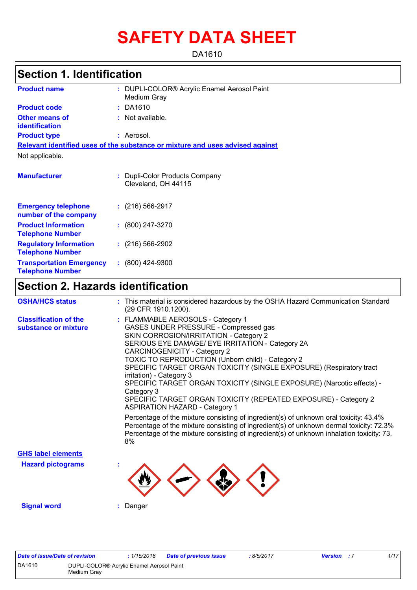# **SAFETY DATA SHEET**

DA1610

# **Section 1. Identification**

| <b>Product name</b>                                        | : DUPLI-COLOR® Acrylic Enamel Aerosol Paint<br>Medium Gray                    |
|------------------------------------------------------------|-------------------------------------------------------------------------------|
| <b>Product code</b>                                        | $:$ DA1610                                                                    |
| <b>Other means of</b><br>identification                    | $:$ Not available.                                                            |
| <b>Product type</b>                                        | : Aerosol.                                                                    |
|                                                            | Relevant identified uses of the substance or mixture and uses advised against |
| Not applicable.                                            |                                                                               |
| <b>Manufacturer</b>                                        | Dupli-Color Products Company<br>Cleveland, OH 44115                           |
| <b>Emergency telephone</b><br>number of the company        | $: (216) 566 - 2917$                                                          |
| <b>Product Information</b><br><b>Telephone Number</b>      | $: (800) 247 - 3270$                                                          |
| <b>Regulatory Information</b><br><b>Telephone Number</b>   | $: (216) 566-2902$                                                            |
| <b>Transportation Emergency</b><br><b>Telephone Number</b> | $: (800)$ 424-9300                                                            |

### **Section 2. Hazards identification**

| <b>OSHA/HCS status</b>                               | : This material is considered hazardous by the OSHA Hazard Communication Standard<br>(29 CFR 1910.1200).                                                                                                                                                                                                                                                                                                                                                                                                                                                                                                                                                     |
|------------------------------------------------------|--------------------------------------------------------------------------------------------------------------------------------------------------------------------------------------------------------------------------------------------------------------------------------------------------------------------------------------------------------------------------------------------------------------------------------------------------------------------------------------------------------------------------------------------------------------------------------------------------------------------------------------------------------------|
| <b>Classification of the</b><br>substance or mixture | : FLAMMABLE AEROSOLS - Category 1<br>GASES UNDER PRESSURE - Compressed gas<br>SKIN CORROSION/IRRITATION - Category 2<br>SERIOUS EYE DAMAGE/ EYE IRRITATION - Category 2A<br>CARCINOGENICITY - Category 2<br>TOXIC TO REPRODUCTION (Unborn child) - Category 2<br>SPECIFIC TARGET ORGAN TOXICITY (SINGLE EXPOSURE) (Respiratory tract<br>irritation) - Category 3<br>SPECIFIC TARGET ORGAN TOXICITY (SINGLE EXPOSURE) (Narcotic effects) -<br>Category 3<br>SPECIFIC TARGET ORGAN TOXICITY (REPEATED EXPOSURE) - Category 2<br><b>ASPIRATION HAZARD - Category 1</b><br>Percentage of the mixture consisting of ingredient(s) of unknown oral toxicity: 43.4% |
|                                                      | Percentage of the mixture consisting of ingredient(s) of unknown dermal toxicity: 72.3%<br>Percentage of the mixture consisting of ingredient(s) of unknown inhalation toxicity: 73.<br>8%                                                                                                                                                                                                                                                                                                                                                                                                                                                                   |
| <b>GHS label elements</b>                            |                                                                                                                                                                                                                                                                                                                                                                                                                                                                                                                                                                                                                                                              |
| <b>Hazard pictograms</b>                             |                                                                                                                                                                                                                                                                                                                                                                                                                                                                                                                                                                                                                                                              |
| <b>Signal word</b>                                   | Danger                                                                                                                                                                                                                                                                                                                                                                                                                                                                                                                                                                                                                                                       |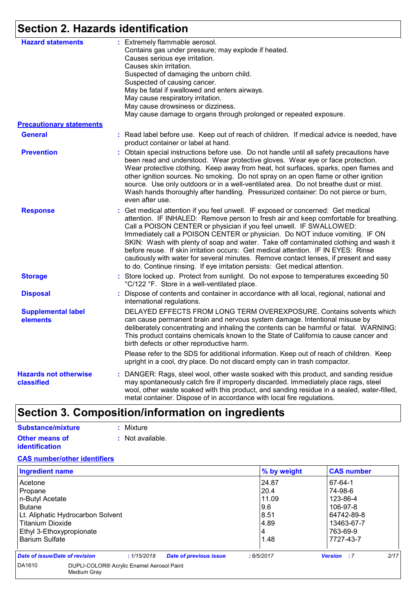# **Section 2. Hazards identification**

| <b>Hazard statements</b>                   | : Extremely flammable aerosol.<br>Contains gas under pressure; may explode if heated.<br>Causes serious eye irritation.<br>Causes skin irritation.<br>Suspected of damaging the unborn child.<br>Suspected of causing cancer.<br>May be fatal if swallowed and enters airways.<br>May cause respiratory irritation.<br>May cause drowsiness or dizziness.<br>May cause damage to organs through prolonged or repeated exposure.                                                                                                                                                                                                                                                       |
|--------------------------------------------|---------------------------------------------------------------------------------------------------------------------------------------------------------------------------------------------------------------------------------------------------------------------------------------------------------------------------------------------------------------------------------------------------------------------------------------------------------------------------------------------------------------------------------------------------------------------------------------------------------------------------------------------------------------------------------------|
| <b>Precautionary statements</b>            |                                                                                                                                                                                                                                                                                                                                                                                                                                                                                                                                                                                                                                                                                       |
| <b>General</b>                             | : Read label before use. Keep out of reach of children. If medical advice is needed, have<br>product container or label at hand.                                                                                                                                                                                                                                                                                                                                                                                                                                                                                                                                                      |
| <b>Prevention</b>                          | : Obtain special instructions before use. Do not handle until all safety precautions have<br>been read and understood. Wear protective gloves. Wear eye or face protection.<br>Wear protective clothing. Keep away from heat, hot surfaces, sparks, open flames and<br>other ignition sources. No smoking. Do not spray on an open flame or other ignition<br>source. Use only outdoors or in a well-ventilated area. Do not breathe dust or mist.<br>Wash hands thoroughly after handling. Pressurized container: Do not pierce or burn,<br>even after use.                                                                                                                          |
| <b>Response</b>                            | : Get medical attention if you feel unwell. IF exposed or concerned: Get medical<br>attention. IF INHALED: Remove person to fresh air and keep comfortable for breathing.<br>Call a POISON CENTER or physician if you feel unwell. IF SWALLOWED:<br>Immediately call a POISON CENTER or physician. Do NOT induce vomiting. IF ON<br>SKIN: Wash with plenty of soap and water. Take off contaminated clothing and wash it<br>before reuse. If skin irritation occurs: Get medical attention. IF IN EYES: Rinse<br>cautiously with water for several minutes. Remove contact lenses, if present and easy<br>to do. Continue rinsing. If eye irritation persists: Get medical attention. |
| <b>Storage</b>                             | : Store locked up. Protect from sunlight. Do not expose to temperatures exceeding 50<br>°C/122 °F. Store in a well-ventilated place.                                                                                                                                                                                                                                                                                                                                                                                                                                                                                                                                                  |
| <b>Disposal</b>                            | : Dispose of contents and container in accordance with all local, regional, national and<br>international regulations.                                                                                                                                                                                                                                                                                                                                                                                                                                                                                                                                                                |
| <b>Supplemental label</b><br>elements      | DELAYED EFFECTS FROM LONG TERM OVEREXPOSURE. Contains solvents which<br>can cause permanent brain and nervous system damage. Intentional misuse by<br>deliberately concentrating and inhaling the contents can be harmful or fatal. WARNING:<br>This product contains chemicals known to the State of California to cause cancer and<br>birth defects or other reproductive harm.                                                                                                                                                                                                                                                                                                     |
|                                            | Please refer to the SDS for additional information. Keep out of reach of children. Keep<br>upright in a cool, dry place. Do not discard empty can in trash compactor.                                                                                                                                                                                                                                                                                                                                                                                                                                                                                                                 |
| <b>Hazards not otherwise</b><br>classified | : DANGER: Rags, steel wool, other waste soaked with this product, and sanding residue<br>may spontaneously catch fire if improperly discarded. Immediately place rags, steel<br>wool, other waste soaked with this product, and sanding residue in a sealed, water-filled,<br>metal container. Dispose of in accordance with local fire regulations.                                                                                                                                                                                                                                                                                                                                  |

# **Section 3. Composition/information on ingredients**

| Substance/mixture     | : Mixture        |
|-----------------------|------------------|
| <b>Other means of</b> | : Not available. |
| <i>identification</i> |                  |

### **CAS number/other identifiers**

| <b>Ingredient name</b>            |                                              | % by weight | <b>CAS number</b>          |
|-----------------------------------|----------------------------------------------|-------------|----------------------------|
| Acetone                           |                                              | 24.87       | 67-64-1                    |
| Propane                           |                                              | 20.4        | 74-98-6                    |
| n-Butyl Acetate                   |                                              | 11.09       | 123-86-4                   |
| <b>Butane</b>                     |                                              | 9.6         | 106-97-8                   |
| Lt. Aliphatic Hydrocarbon Solvent |                                              | 8.51        | 64742-89-8                 |
| Titanium Dioxide                  |                                              | 14.89       | 13463-67-7                 |
| Ethyl 3-Ethoxypropionate          |                                              | 4           | 763-69-9                   |
| <b>Barium Sulfate</b>             |                                              | 1.48        | 7727-43-7                  |
| Date of issue/Date of revision    | <b>Date of previous issue</b><br>: 1/15/2018 | : 8/5/2017  | 2/17<br><b>Version</b> : 7 |
| DA1610<br>Medium Grav             | DUPLI-COLOR® Acrylic Enamel Aerosol Paint    |             |                            |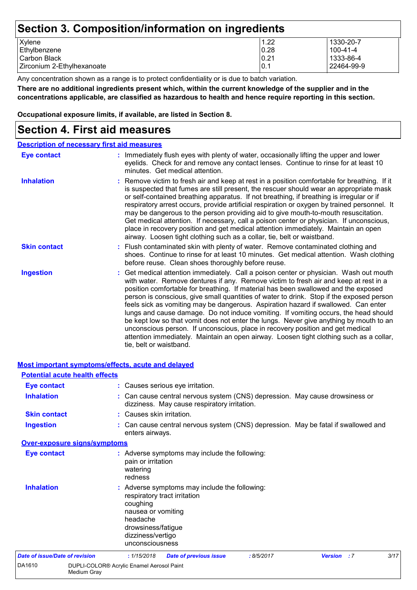# **Section 3. Composition/information on ingredients**

| Xylene                     | 1.22            | 1330-20-7  |
|----------------------------|-----------------|------------|
| Ethylbenzene               | 0.28            | 100-41-4   |
| I Carbon Black             | 0.21            | 1333-86-4  |
| Zirconium 2-Ethylhexanoate | $\mathsf{I}0.1$ | 22464-99-9 |

Any concentration shown as a range is to protect confidentiality or is due to batch variation.

**There are no additional ingredients present which, within the current knowledge of the supplier and in the concentrations applicable, are classified as hazardous to health and hence require reporting in this section.**

**Occupational exposure limits, if available, are listed in Section 8.**

### **Section 4. First aid measures**

| <b>Description of necessary first aid measures</b> |                                                                                                                                                                                                                                                                                                                                                                                                                                                                                                                                                                                                                                                                                                                                                                                                                                                 |
|----------------------------------------------------|-------------------------------------------------------------------------------------------------------------------------------------------------------------------------------------------------------------------------------------------------------------------------------------------------------------------------------------------------------------------------------------------------------------------------------------------------------------------------------------------------------------------------------------------------------------------------------------------------------------------------------------------------------------------------------------------------------------------------------------------------------------------------------------------------------------------------------------------------|
| <b>Eye contact</b>                                 | : Immediately flush eyes with plenty of water, occasionally lifting the upper and lower<br>eyelids. Check for and remove any contact lenses. Continue to rinse for at least 10<br>minutes. Get medical attention.                                                                                                                                                                                                                                                                                                                                                                                                                                                                                                                                                                                                                               |
| <b>Inhalation</b>                                  | : Remove victim to fresh air and keep at rest in a position comfortable for breathing. If it<br>is suspected that fumes are still present, the rescuer should wear an appropriate mask<br>or self-contained breathing apparatus. If not breathing, if breathing is irregular or if<br>respiratory arrest occurs, provide artificial respiration or oxygen by trained personnel. It<br>may be dangerous to the person providing aid to give mouth-to-mouth resuscitation.<br>Get medical attention. If necessary, call a poison center or physician. If unconscious,<br>place in recovery position and get medical attention immediately. Maintain an open<br>airway. Loosen tight clothing such as a collar, tie, belt or waistband.                                                                                                            |
| <b>Skin contact</b>                                | : Flush contaminated skin with plenty of water. Remove contaminated clothing and<br>shoes. Continue to rinse for at least 10 minutes. Get medical attention. Wash clothing<br>before reuse. Clean shoes thoroughly before reuse.                                                                                                                                                                                                                                                                                                                                                                                                                                                                                                                                                                                                                |
| <b>Ingestion</b>                                   | : Get medical attention immediately. Call a poison center or physician. Wash out mouth<br>with water. Remove dentures if any. Remove victim to fresh air and keep at rest in a<br>position comfortable for breathing. If material has been swallowed and the exposed<br>person is conscious, give small quantities of water to drink. Stop if the exposed person<br>feels sick as vomiting may be dangerous. Aspiration hazard if swallowed. Can enter<br>lungs and cause damage. Do not induce vomiting. If vomiting occurs, the head should<br>be kept low so that vomit does not enter the lungs. Never give anything by mouth to an<br>unconscious person. If unconscious, place in recovery position and get medical<br>attention immediately. Maintain an open airway. Loosen tight clothing such as a collar,<br>tie, belt or waistband. |

|                                       | Most important symptoms/effects, acute and delayed       |                                                                                                          |                                                                               |            |                                                                                    |      |
|---------------------------------------|----------------------------------------------------------|----------------------------------------------------------------------------------------------------------|-------------------------------------------------------------------------------|------------|------------------------------------------------------------------------------------|------|
|                                       | <b>Potential acute health effects</b>                    |                                                                                                          |                                                                               |            |                                                                                    |      |
| <b>Eye contact</b>                    |                                                          |                                                                                                          | : Causes serious eye irritation.                                              |            |                                                                                    |      |
| <b>Inhalation</b>                     |                                                          |                                                                                                          | dizziness. May cause respiratory irritation.                                  |            | : Can cause central nervous system (CNS) depression. May cause drowsiness or       |      |
| <b>Skin contact</b>                   |                                                          | : Causes skin irritation.                                                                                |                                                                               |            |                                                                                    |      |
| <b>Ingestion</b>                      |                                                          | enters airways.                                                                                          |                                                                               |            | : Can cause central nervous system (CNS) depression. May be fatal if swallowed and |      |
|                                       | <b>Over-exposure signs/symptoms</b>                      |                                                                                                          |                                                                               |            |                                                                                    |      |
| <b>Eye contact</b>                    |                                                          | pain or irritation<br>watering<br>redness                                                                | : Adverse symptoms may include the following:                                 |            |                                                                                    |      |
| <b>Inhalation</b>                     |                                                          | coughing<br>nausea or vomiting<br>headache<br>drowsiness/fatigue<br>dizziness/vertigo<br>unconsciousness | : Adverse symptoms may include the following:<br>respiratory tract irritation |            |                                                                                    |      |
| <b>Date of issue/Date of revision</b> |                                                          | : 1/15/2018                                                                                              | <b>Date of previous issue</b>                                                 | : 8/5/2017 | <b>Version</b> : 7                                                                 | 3/17 |
| DA1610                                | DUPLI-COLOR® Acrylic Enamel Aerosol Paint<br>Medium Gray |                                                                                                          |                                                                               |            |                                                                                    |      |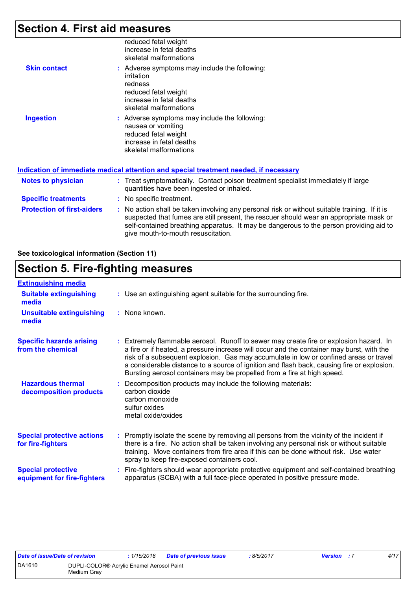# **Section 4. First aid measures**

|                     | reduced fetal weight<br>increase in fetal deaths<br>skeletal malformations                                                                           |
|---------------------|------------------------------------------------------------------------------------------------------------------------------------------------------|
| <b>Skin contact</b> | : Adverse symptoms may include the following:<br>irritation<br>redness<br>reduced fetal weight<br>increase in fetal deaths<br>skeletal malformations |
| <b>Ingestion</b>    | : Adverse symptoms may include the following:<br>nausea or vomiting<br>reduced fetal weight<br>increase in fetal deaths<br>skeletal malformations    |

|                                   | Indication of immediate medical attention and special treatment needed, if necessary                                                                                                                                                                                                                                    |
|-----------------------------------|-------------------------------------------------------------------------------------------------------------------------------------------------------------------------------------------------------------------------------------------------------------------------------------------------------------------------|
| <b>Notes to physician</b>         | : Treat symptomatically. Contact poison treatment specialist immediately if large<br>quantities have been ingested or inhaled.                                                                                                                                                                                          |
| <b>Specific treatments</b>        | : No specific treatment.                                                                                                                                                                                                                                                                                                |
| <b>Protection of first-aiders</b> | : No action shall be taken involving any personal risk or without suitable training. If it is<br>suspected that fumes are still present, the rescuer should wear an appropriate mask or<br>self-contained breathing apparatus. It may be dangerous to the person providing aid to<br>give mouth-to-mouth resuscitation. |

### **See toxicological information (Section 11)**

## **Section 5. Fire-fighting measures**

| <b>Extinguishing media</b>                               |                                                                                                                                                                                                                                                                                                                                                                                                                                                       |
|----------------------------------------------------------|-------------------------------------------------------------------------------------------------------------------------------------------------------------------------------------------------------------------------------------------------------------------------------------------------------------------------------------------------------------------------------------------------------------------------------------------------------|
| <b>Suitable extinguishing</b><br>media                   | : Use an extinguishing agent suitable for the surrounding fire.                                                                                                                                                                                                                                                                                                                                                                                       |
| <b>Unsuitable extinguishing</b><br>media                 | : None known.                                                                                                                                                                                                                                                                                                                                                                                                                                         |
| <b>Specific hazards arising</b><br>from the chemical     | : Extremely flammable aerosol. Runoff to sewer may create fire or explosion hazard. In<br>a fire or if heated, a pressure increase will occur and the container may burst, with the<br>risk of a subsequent explosion. Gas may accumulate in low or confined areas or travel<br>a considerable distance to a source of ignition and flash back, causing fire or explosion.<br>Bursting aerosol containers may be propelled from a fire at high speed. |
| <b>Hazardous thermal</b><br>decomposition products       | Decomposition products may include the following materials:<br>carbon dioxide<br>carbon monoxide<br>sulfur oxides<br>metal oxide/oxides                                                                                                                                                                                                                                                                                                               |
| <b>Special protective actions</b><br>for fire-fighters   | Promptly isolate the scene by removing all persons from the vicinity of the incident if<br>there is a fire. No action shall be taken involving any personal risk or without suitable<br>training. Move containers from fire area if this can be done without risk. Use water<br>spray to keep fire-exposed containers cool.                                                                                                                           |
| <b>Special protective</b><br>equipment for fire-fighters | Fire-fighters should wear appropriate protective equipment and self-contained breathing<br>apparatus (SCBA) with a full face-piece operated in positive pressure mode.                                                                                                                                                                                                                                                                                |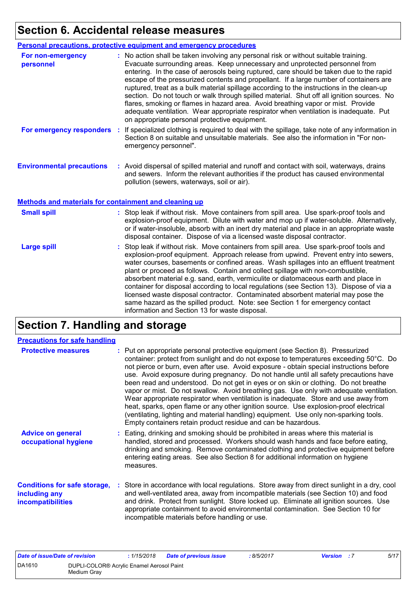### **Section 6. Accidental release measures**

|                                                              | Personal precautions, protective equipment and emergency procedures                                                                                                                                                                                                                                                                                                                                                                                                                                                                                                                                                                                                                                                                                                              |
|--------------------------------------------------------------|----------------------------------------------------------------------------------------------------------------------------------------------------------------------------------------------------------------------------------------------------------------------------------------------------------------------------------------------------------------------------------------------------------------------------------------------------------------------------------------------------------------------------------------------------------------------------------------------------------------------------------------------------------------------------------------------------------------------------------------------------------------------------------|
| For non-emergency<br>personnel                               | : No action shall be taken involving any personal risk or without suitable training.<br>Evacuate surrounding areas. Keep unnecessary and unprotected personnel from<br>entering. In the case of aerosols being ruptured, care should be taken due to the rapid<br>escape of the pressurized contents and propellant. If a large number of containers are<br>ruptured, treat as a bulk material spillage according to the instructions in the clean-up<br>section. Do not touch or walk through spilled material. Shut off all ignition sources. No<br>flares, smoking or flames in hazard area. Avoid breathing vapor or mist. Provide<br>adequate ventilation. Wear appropriate respirator when ventilation is inadequate. Put<br>on appropriate personal protective equipment. |
| For emergency responders                                     | If specialized clothing is required to deal with the spillage, take note of any information in<br>Section 8 on suitable and unsuitable materials. See also the information in "For non-<br>emergency personnel".                                                                                                                                                                                                                                                                                                                                                                                                                                                                                                                                                                 |
| <b>Environmental precautions</b>                             | : Avoid dispersal of spilled material and runoff and contact with soil, waterways, drains<br>and sewers. Inform the relevant authorities if the product has caused environmental<br>pollution (sewers, waterways, soil or air).                                                                                                                                                                                                                                                                                                                                                                                                                                                                                                                                                  |
| <b>Methods and materials for containment and cleaning up</b> |                                                                                                                                                                                                                                                                                                                                                                                                                                                                                                                                                                                                                                                                                                                                                                                  |

| <b>Small spill</b> | : Stop leak if without risk. Move containers from spill area. Use spark-proof tools and<br>explosion-proof equipment. Dilute with water and mop up if water-soluble. Alternatively,<br>or if water-insoluble, absorb with an inert dry material and place in an appropriate waste<br>disposal container. Dispose of via a licensed waste disposal contractor. |
|--------------------|---------------------------------------------------------------------------------------------------------------------------------------------------------------------------------------------------------------------------------------------------------------------------------------------------------------------------------------------------------------|
| <b>Large spill</b> | : Stop leak if without risk. Move containers from spill area. Use spark-proof tools and<br>explosion-proof equipment. Approach release from upwind. Prevent entry into sewers,<br>water courses, basements or confined areas. Wash spillages into an effluent treatment<br>plant or proceed as follows. Contain and collect spillage with non-combustible,    |

information and Section 13 for waste disposal.

absorbent material e.g. sand, earth, vermiculite or diatomaceous earth and place in container for disposal according to local regulations (see Section 13). Dispose of via a licensed waste disposal contractor. Contaminated absorbent material may pose the same hazard as the spilled product. Note: see Section 1 for emergency contact

# **Section 7. Handling and storage**

| <b>Precautions for safe handling</b>                                             |                                                                                                                                                                                                                                                                                                                                                                                                                                                                                                                                                                                                                                                                                                                                                                                                                                                                                          |
|----------------------------------------------------------------------------------|------------------------------------------------------------------------------------------------------------------------------------------------------------------------------------------------------------------------------------------------------------------------------------------------------------------------------------------------------------------------------------------------------------------------------------------------------------------------------------------------------------------------------------------------------------------------------------------------------------------------------------------------------------------------------------------------------------------------------------------------------------------------------------------------------------------------------------------------------------------------------------------|
| <b>Protective measures</b>                                                       | : Put on appropriate personal protective equipment (see Section 8). Pressurized<br>container: protect from sunlight and do not expose to temperatures exceeding 50°C. Do<br>not pierce or burn, even after use. Avoid exposure - obtain special instructions before<br>use. Avoid exposure during pregnancy. Do not handle until all safety precautions have<br>been read and understood. Do not get in eyes or on skin or clothing. Do not breathe<br>vapor or mist. Do not swallow. Avoid breathing gas. Use only with adequate ventilation.<br>Wear appropriate respirator when ventilation is inadequate. Store and use away from<br>heat, sparks, open flame or any other ignition source. Use explosion-proof electrical<br>(ventilating, lighting and material handling) equipment. Use only non-sparking tools.<br>Empty containers retain product residue and can be hazardous. |
| <b>Advice on general</b><br>occupational hygiene                                 | : Eating, drinking and smoking should be prohibited in areas where this material is<br>handled, stored and processed. Workers should wash hands and face before eating,<br>drinking and smoking. Remove contaminated clothing and protective equipment before<br>entering eating areas. See also Section 8 for additional information on hygiene<br>measures.                                                                                                                                                                                                                                                                                                                                                                                                                                                                                                                            |
| <b>Conditions for safe storage,</b><br>including any<br><b>incompatibilities</b> | : Store in accordance with local regulations. Store away from direct sunlight in a dry, cool<br>and well-ventilated area, away from incompatible materials (see Section 10) and food<br>and drink. Protect from sunlight. Store locked up. Eliminate all ignition sources. Use<br>appropriate containment to avoid environmental contamination. See Section 10 for<br>incompatible materials before handling or use.                                                                                                                                                                                                                                                                                                                                                                                                                                                                     |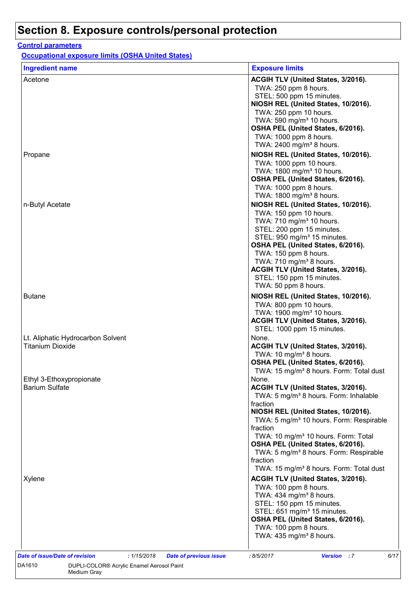### **Control parameters**

**Occupational exposure limits (OSHA United States)**

Medium Gray

| <b>Ingredient name</b>                                       | <b>Exposure limits</b>                                                                                                                                                                                                                                                                                                                                                           |
|--------------------------------------------------------------|----------------------------------------------------------------------------------------------------------------------------------------------------------------------------------------------------------------------------------------------------------------------------------------------------------------------------------------------------------------------------------|
| Acetone                                                      | ACGIH TLV (United States, 3/2016).<br>TWA: 250 ppm 8 hours.<br>STEL: 500 ppm 15 minutes.                                                                                                                                                                                                                                                                                         |
|                                                              | NIOSH REL (United States, 10/2016).<br>TWA: 250 ppm 10 hours.<br>TWA: 590 mg/m <sup>3</sup> 10 hours.<br>OSHA PEL (United States, 6/2016).<br>TWA: 1000 ppm 8 hours.<br>TWA: 2400 mg/m <sup>3</sup> 8 hours.                                                                                                                                                                     |
| Propane                                                      | NIOSH REL (United States, 10/2016).<br>TWA: 1000 ppm 10 hours.<br>TWA: 1800 mg/m <sup>3</sup> 10 hours.<br>OSHA PEL (United States, 6/2016).<br>TWA: 1000 ppm 8 hours.<br>TWA: 1800 mg/m <sup>3</sup> 8 hours.                                                                                                                                                                   |
| n-Butyl Acetate                                              | NIOSH REL (United States, 10/2016).<br>TWA: 150 ppm 10 hours.<br>TWA: 710 mg/m <sup>3</sup> 10 hours.<br>STEL: 200 ppm 15 minutes.<br>STEL: 950 mg/m <sup>3</sup> 15 minutes.<br>OSHA PEL (United States, 6/2016).<br>TWA: 150 ppm 8 hours.<br>TWA: 710 mg/m <sup>3</sup> 8 hours.<br>ACGIH TLV (United States, 3/2016).<br>STEL: 150 ppm 15 minutes.<br>TWA: 50 ppm 8 hours.    |
| <b>Butane</b>                                                | NIOSH REL (United States, 10/2016).<br>TWA: 800 ppm 10 hours.<br>TWA: 1900 mg/m <sup>3</sup> 10 hours.<br>ACGIH TLV (United States, 3/2016).<br>STEL: 1000 ppm 15 minutes.                                                                                                                                                                                                       |
| Lt. Aliphatic Hydrocarbon Solvent<br><b>Titanium Dioxide</b> | None.<br>ACGIH TLV (United States, 3/2016).<br>TWA: 10 mg/m <sup>3</sup> 8 hours.<br>OSHA PEL (United States, 6/2016).<br>TWA: 15 mg/m <sup>3</sup> 8 hours. Form: Total dust                                                                                                                                                                                                    |
| Ethyl 3-Ethoxypropionate<br><b>Barium Sulfate</b>            | None.<br>ACGIH TLV (United States, 3/2016).<br>TWA: 5 mg/m <sup>3</sup> 8 hours. Form: Inhalable<br>fraction<br>NIOSH REL (United States, 10/2016).<br>TWA: 5 mg/m <sup>3</sup> 10 hours. Form: Respirable<br>fraction<br>TWA: 10 mg/m <sup>3</sup> 10 hours. Form: Total<br>OSHA PEL (United States, 6/2016).<br>TWA: 5 mg/m <sup>3</sup> 8 hours. Form: Respirable<br>fraction |
| Xylene                                                       | TWA: 15 mg/m <sup>3</sup> 8 hours. Form: Total dust<br>ACGIH TLV (United States, 3/2016).<br>TWA: 100 ppm 8 hours.<br>TWA: $434$ mg/m <sup>3</sup> 8 hours.<br>STEL: 150 ppm 15 minutes.<br>STEL: 651 mg/m <sup>3</sup> 15 minutes.<br>OSHA PEL (United States, 6/2016).<br>TWA: 100 ppm 8 hours.<br>TWA: 435 mg/m <sup>3</sup> 8 hours.                                         |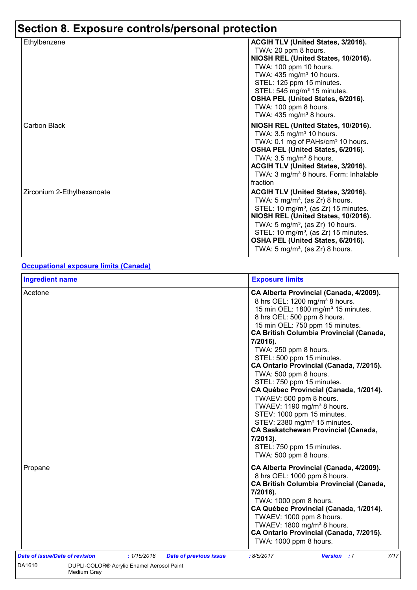| Ethylbenzene               | ACGIH TLV (United States, 3/2016).                                                                                                                                                                                                                                                                                                                                |
|----------------------------|-------------------------------------------------------------------------------------------------------------------------------------------------------------------------------------------------------------------------------------------------------------------------------------------------------------------------------------------------------------------|
|                            | TWA: 20 ppm 8 hours.                                                                                                                                                                                                                                                                                                                                              |
|                            | NIOSH REL (United States, 10/2016).                                                                                                                                                                                                                                                                                                                               |
|                            | TWA: 100 ppm 10 hours.                                                                                                                                                                                                                                                                                                                                            |
|                            | TWA: 435 mg/m <sup>3</sup> 10 hours.                                                                                                                                                                                                                                                                                                                              |
|                            | STEL: 125 ppm 15 minutes.                                                                                                                                                                                                                                                                                                                                         |
|                            | STEL: 545 mg/m <sup>3</sup> 15 minutes.                                                                                                                                                                                                                                                                                                                           |
|                            | OSHA PEL (United States, 6/2016).                                                                                                                                                                                                                                                                                                                                 |
|                            | TWA: 100 ppm 8 hours.                                                                                                                                                                                                                                                                                                                                             |
|                            | TWA: $435 \text{ mg/m}^3$ 8 hours.                                                                                                                                                                                                                                                                                                                                |
| Carbon Black               | NIOSH REL (United States, 10/2016).<br>TWA: 3.5 mg/m <sup>3</sup> 10 hours.<br>TWA: 0.1 mg of PAHs/cm <sup>3</sup> 10 hours.<br>OSHA PEL (United States, 6/2016).<br>TWA: $3.5 \text{ mg/m}^3$ 8 hours.<br>ACGIH TLV (United States, 3/2016).<br>TWA: 3 mg/m <sup>3</sup> 8 hours. Form: Inhalable<br>fraction                                                    |
| Zirconium 2-Ethylhexanoate | ACGIH TLV (United States, 3/2016).<br>TWA: $5 \text{ mg/m}^3$ , (as Zr) 8 hours.<br>STEL: 10 mg/m <sup>3</sup> , (as Zr) 15 minutes.<br>NIOSH REL (United States, 10/2016).<br>TWA: $5 \text{ mg/m}^3$ , (as Zr) 10 hours.<br>STEL: 10 mg/m <sup>3</sup> , (as Zr) 15 minutes.<br>OSHA PEL (United States, 6/2016).<br>TWA: $5 \text{ mg/m}^3$ , (as Zr) 8 hours. |

### **Occupational exposure limits (Canada)**

| <b>Ingredient name</b>                                                         | <b>Exposure limits</b>                                                                                                                                                                                                                                                                                                                                                                                                                                                                                                                                                                                                                                                                                                                  |  |  |  |
|--------------------------------------------------------------------------------|-----------------------------------------------------------------------------------------------------------------------------------------------------------------------------------------------------------------------------------------------------------------------------------------------------------------------------------------------------------------------------------------------------------------------------------------------------------------------------------------------------------------------------------------------------------------------------------------------------------------------------------------------------------------------------------------------------------------------------------------|--|--|--|
| Acetone                                                                        | CA Alberta Provincial (Canada, 4/2009).<br>8 hrs OEL: 1200 mg/m <sup>3</sup> 8 hours.<br>15 min OEL: 1800 mg/m <sup>3</sup> 15 minutes.<br>8 hrs OEL: 500 ppm 8 hours.<br>15 min OEL: 750 ppm 15 minutes.<br><b>CA British Columbia Provincial (Canada,</b><br>7/2016).<br>TWA: 250 ppm 8 hours.<br>STEL: 500 ppm 15 minutes.<br>CA Ontario Provincial (Canada, 7/2015).<br>TWA: 500 ppm 8 hours.<br>STEL: 750 ppm 15 minutes.<br>CA Québec Provincial (Canada, 1/2014).<br>TWAEV: 500 ppm 8 hours.<br>TWAEV: 1190 mg/m <sup>3</sup> 8 hours.<br>STEV: 1000 ppm 15 minutes.<br>STEV: 2380 mg/m <sup>3</sup> 15 minutes.<br><b>CA Saskatchewan Provincial (Canada,</b><br>7/2013).<br>STEL: 750 ppm 15 minutes.<br>TWA: 500 ppm 8 hours. |  |  |  |
| Propane                                                                        | CA Alberta Provincial (Canada, 4/2009).<br>8 hrs OEL: 1000 ppm 8 hours.<br><b>CA British Columbia Provincial (Canada,</b><br>7/2016).<br>TWA: 1000 ppm 8 hours.<br>CA Québec Provincial (Canada, 1/2014).<br>TWAEV: 1000 ppm 8 hours.<br>TWAEV: 1800 mg/m <sup>3</sup> 8 hours.<br>CA Ontario Provincial (Canada, 7/2015).<br>TWA: 1000 ppm 8 hours.                                                                                                                                                                                                                                                                                                                                                                                    |  |  |  |
| Date of issue/Date of revision<br>: 1/15/2018<br><b>Date of previous issue</b> | <b>Version</b> : 7<br>7/17<br>:8/5/2017                                                                                                                                                                                                                                                                                                                                                                                                                                                                                                                                                                                                                                                                                                 |  |  |  |
| DA1610<br>DUPLI-COLOR® Acrylic Enamel Aerosol Paint<br>Medium Gray             |                                                                                                                                                                                                                                                                                                                                                                                                                                                                                                                                                                                                                                                                                                                                         |  |  |  |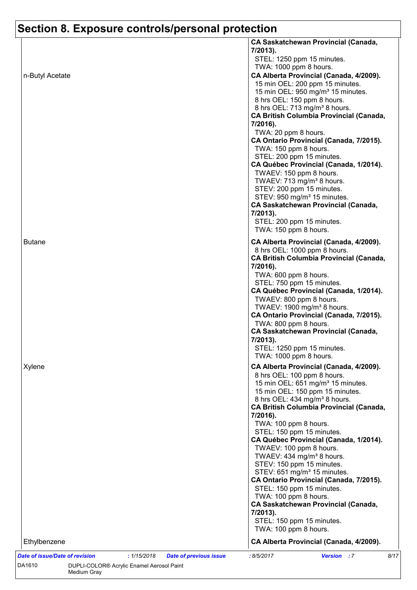| <b>CA Saskatchewan Provincial (Canada,</b><br>7/2013).<br>STEL: 1250 ppm 15 minutes.<br>TWA: 1000 ppm 8 hours.<br>CA Alberta Provincial (Canada, 4/2009).<br>15 min OEL: 200 ppm 15 minutes.<br>15 min OEL: 950 mg/m <sup>3</sup> 15 minutes.<br>8 hrs OEL: 150 ppm 8 hours.<br>8 hrs OEL: 713 mg/m <sup>3</sup> 8 hours.<br><b>CA British Columbia Provincial (Canada,</b><br>7/2016).<br>TWA: 20 ppm 8 hours.<br>CA Ontario Provincial (Canada, 7/2015).<br>TWA: 150 ppm 8 hours.<br>STEL: 200 ppm 15 minutes.<br>CA Québec Provincial (Canada, 1/2014).<br>TWAEV: 150 ppm 8 hours.<br>TWAEV: 713 mg/m <sup>3</sup> 8 hours.<br>STEV: 200 ppm 15 minutes.<br>STEV: 950 mg/m <sup>3</sup> 15 minutes.<br><b>CA Saskatchewan Provincial (Canada,</b><br>7/2013).<br>STEL: 200 ppm 15 minutes.<br>TWA: 150 ppm 8 hours.<br><b>Butane</b><br>CA Alberta Provincial (Canada, 4/2009).<br>8 hrs OEL: 1000 ppm 8 hours.<br><b>CA British Columbia Provincial (Canada,</b><br>7/2016).<br>TWA: 600 ppm 8 hours.<br>STEL: 750 ppm 15 minutes.<br>CA Québec Provincial (Canada, 1/2014).<br>TWAEV: 800 ppm 8 hours.<br>TWAEV: 1900 mg/m <sup>3</sup> 8 hours.<br>CA Ontario Provincial (Canada, 7/2015).<br>TWA: 800 ppm 8 hours.<br><b>CA Saskatchewan Provincial (Canada,</b><br>7/2013).<br>STEL: 1250 ppm 15 minutes.<br>TWA: 1000 ppm 8 hours.<br>CA Alberta Provincial (Canada, 4/2009).<br>Xylene<br>8 hrs OEL: 100 ppm 8 hours.<br>15 min OEL: 651 mg/m <sup>3</sup> 15 minutes.<br>15 min OEL: 150 ppm 15 minutes.<br>8 hrs OEL: 434 mg/m <sup>3</sup> 8 hours.<br><b>CA British Columbia Provincial (Canada,</b><br>7/2016).<br>TWA: 100 ppm 8 hours.<br>STEL: 150 ppm 15 minutes.<br>CA Québec Provincial (Canada, 1/2014).<br>TWAEV: 100 ppm 8 hours.<br>TWAEV: 434 mg/m <sup>3</sup> 8 hours.<br>STEV: 150 ppm 15 minutes.<br>STEV: 651 mg/m <sup>3</sup> 15 minutes.<br>CA Ontario Provincial (Canada, 7/2015).<br>STEL: 150 ppm 15 minutes.<br>TWA: 100 ppm 8 hours.<br><b>CA Saskatchewan Provincial (Canada,</b><br>7/2013).<br>STEL: 150 ppm 15 minutes.<br>TWA: 100 ppm 8 hours. |  |      |
|---------------------------------------------------------------------------------------------------------------------------------------------------------------------------------------------------------------------------------------------------------------------------------------------------------------------------------------------------------------------------------------------------------------------------------------------------------------------------------------------------------------------------------------------------------------------------------------------------------------------------------------------------------------------------------------------------------------------------------------------------------------------------------------------------------------------------------------------------------------------------------------------------------------------------------------------------------------------------------------------------------------------------------------------------------------------------------------------------------------------------------------------------------------------------------------------------------------------------------------------------------------------------------------------------------------------------------------------------------------------------------------------------------------------------------------------------------------------------------------------------------------------------------------------------------------------------------------------------------------------------------------------------------------------------------------------------------------------------------------------------------------------------------------------------------------------------------------------------------------------------------------------------------------------------------------------------------------------------------------------------------------------------------------------------------------------------------------------|--|------|
| n-Butyl Acetate                                                                                                                                                                                                                                                                                                                                                                                                                                                                                                                                                                                                                                                                                                                                                                                                                                                                                                                                                                                                                                                                                                                                                                                                                                                                                                                                                                                                                                                                                                                                                                                                                                                                                                                                                                                                                                                                                                                                                                                                                                                                             |  |      |
|                                                                                                                                                                                                                                                                                                                                                                                                                                                                                                                                                                                                                                                                                                                                                                                                                                                                                                                                                                                                                                                                                                                                                                                                                                                                                                                                                                                                                                                                                                                                                                                                                                                                                                                                                                                                                                                                                                                                                                                                                                                                                             |  |      |
|                                                                                                                                                                                                                                                                                                                                                                                                                                                                                                                                                                                                                                                                                                                                                                                                                                                                                                                                                                                                                                                                                                                                                                                                                                                                                                                                                                                                                                                                                                                                                                                                                                                                                                                                                                                                                                                                                                                                                                                                                                                                                             |  |      |
|                                                                                                                                                                                                                                                                                                                                                                                                                                                                                                                                                                                                                                                                                                                                                                                                                                                                                                                                                                                                                                                                                                                                                                                                                                                                                                                                                                                                                                                                                                                                                                                                                                                                                                                                                                                                                                                                                                                                                                                                                                                                                             |  |      |
|                                                                                                                                                                                                                                                                                                                                                                                                                                                                                                                                                                                                                                                                                                                                                                                                                                                                                                                                                                                                                                                                                                                                                                                                                                                                                                                                                                                                                                                                                                                                                                                                                                                                                                                                                                                                                                                                                                                                                                                                                                                                                             |  |      |
|                                                                                                                                                                                                                                                                                                                                                                                                                                                                                                                                                                                                                                                                                                                                                                                                                                                                                                                                                                                                                                                                                                                                                                                                                                                                                                                                                                                                                                                                                                                                                                                                                                                                                                                                                                                                                                                                                                                                                                                                                                                                                             |  |      |
|                                                                                                                                                                                                                                                                                                                                                                                                                                                                                                                                                                                                                                                                                                                                                                                                                                                                                                                                                                                                                                                                                                                                                                                                                                                                                                                                                                                                                                                                                                                                                                                                                                                                                                                                                                                                                                                                                                                                                                                                                                                                                             |  |      |
|                                                                                                                                                                                                                                                                                                                                                                                                                                                                                                                                                                                                                                                                                                                                                                                                                                                                                                                                                                                                                                                                                                                                                                                                                                                                                                                                                                                                                                                                                                                                                                                                                                                                                                                                                                                                                                                                                                                                                                                                                                                                                             |  |      |
|                                                                                                                                                                                                                                                                                                                                                                                                                                                                                                                                                                                                                                                                                                                                                                                                                                                                                                                                                                                                                                                                                                                                                                                                                                                                                                                                                                                                                                                                                                                                                                                                                                                                                                                                                                                                                                                                                                                                                                                                                                                                                             |  |      |
|                                                                                                                                                                                                                                                                                                                                                                                                                                                                                                                                                                                                                                                                                                                                                                                                                                                                                                                                                                                                                                                                                                                                                                                                                                                                                                                                                                                                                                                                                                                                                                                                                                                                                                                                                                                                                                                                                                                                                                                                                                                                                             |  |      |
|                                                                                                                                                                                                                                                                                                                                                                                                                                                                                                                                                                                                                                                                                                                                                                                                                                                                                                                                                                                                                                                                                                                                                                                                                                                                                                                                                                                                                                                                                                                                                                                                                                                                                                                                                                                                                                                                                                                                                                                                                                                                                             |  |      |
|                                                                                                                                                                                                                                                                                                                                                                                                                                                                                                                                                                                                                                                                                                                                                                                                                                                                                                                                                                                                                                                                                                                                                                                                                                                                                                                                                                                                                                                                                                                                                                                                                                                                                                                                                                                                                                                                                                                                                                                                                                                                                             |  |      |
|                                                                                                                                                                                                                                                                                                                                                                                                                                                                                                                                                                                                                                                                                                                                                                                                                                                                                                                                                                                                                                                                                                                                                                                                                                                                                                                                                                                                                                                                                                                                                                                                                                                                                                                                                                                                                                                                                                                                                                                                                                                                                             |  |      |
|                                                                                                                                                                                                                                                                                                                                                                                                                                                                                                                                                                                                                                                                                                                                                                                                                                                                                                                                                                                                                                                                                                                                                                                                                                                                                                                                                                                                                                                                                                                                                                                                                                                                                                                                                                                                                                                                                                                                                                                                                                                                                             |  |      |
|                                                                                                                                                                                                                                                                                                                                                                                                                                                                                                                                                                                                                                                                                                                                                                                                                                                                                                                                                                                                                                                                                                                                                                                                                                                                                                                                                                                                                                                                                                                                                                                                                                                                                                                                                                                                                                                                                                                                                                                                                                                                                             |  |      |
|                                                                                                                                                                                                                                                                                                                                                                                                                                                                                                                                                                                                                                                                                                                                                                                                                                                                                                                                                                                                                                                                                                                                                                                                                                                                                                                                                                                                                                                                                                                                                                                                                                                                                                                                                                                                                                                                                                                                                                                                                                                                                             |  |      |
|                                                                                                                                                                                                                                                                                                                                                                                                                                                                                                                                                                                                                                                                                                                                                                                                                                                                                                                                                                                                                                                                                                                                                                                                                                                                                                                                                                                                                                                                                                                                                                                                                                                                                                                                                                                                                                                                                                                                                                                                                                                                                             |  |      |
|                                                                                                                                                                                                                                                                                                                                                                                                                                                                                                                                                                                                                                                                                                                                                                                                                                                                                                                                                                                                                                                                                                                                                                                                                                                                                                                                                                                                                                                                                                                                                                                                                                                                                                                                                                                                                                                                                                                                                                                                                                                                                             |  |      |
|                                                                                                                                                                                                                                                                                                                                                                                                                                                                                                                                                                                                                                                                                                                                                                                                                                                                                                                                                                                                                                                                                                                                                                                                                                                                                                                                                                                                                                                                                                                                                                                                                                                                                                                                                                                                                                                                                                                                                                                                                                                                                             |  |      |
|                                                                                                                                                                                                                                                                                                                                                                                                                                                                                                                                                                                                                                                                                                                                                                                                                                                                                                                                                                                                                                                                                                                                                                                                                                                                                                                                                                                                                                                                                                                                                                                                                                                                                                                                                                                                                                                                                                                                                                                                                                                                                             |  |      |
|                                                                                                                                                                                                                                                                                                                                                                                                                                                                                                                                                                                                                                                                                                                                                                                                                                                                                                                                                                                                                                                                                                                                                                                                                                                                                                                                                                                                                                                                                                                                                                                                                                                                                                                                                                                                                                                                                                                                                                                                                                                                                             |  |      |
|                                                                                                                                                                                                                                                                                                                                                                                                                                                                                                                                                                                                                                                                                                                                                                                                                                                                                                                                                                                                                                                                                                                                                                                                                                                                                                                                                                                                                                                                                                                                                                                                                                                                                                                                                                                                                                                                                                                                                                                                                                                                                             |  |      |
|                                                                                                                                                                                                                                                                                                                                                                                                                                                                                                                                                                                                                                                                                                                                                                                                                                                                                                                                                                                                                                                                                                                                                                                                                                                                                                                                                                                                                                                                                                                                                                                                                                                                                                                                                                                                                                                                                                                                                                                                                                                                                             |  |      |
|                                                                                                                                                                                                                                                                                                                                                                                                                                                                                                                                                                                                                                                                                                                                                                                                                                                                                                                                                                                                                                                                                                                                                                                                                                                                                                                                                                                                                                                                                                                                                                                                                                                                                                                                                                                                                                                                                                                                                                                                                                                                                             |  |      |
|                                                                                                                                                                                                                                                                                                                                                                                                                                                                                                                                                                                                                                                                                                                                                                                                                                                                                                                                                                                                                                                                                                                                                                                                                                                                                                                                                                                                                                                                                                                                                                                                                                                                                                                                                                                                                                                                                                                                                                                                                                                                                             |  |      |
|                                                                                                                                                                                                                                                                                                                                                                                                                                                                                                                                                                                                                                                                                                                                                                                                                                                                                                                                                                                                                                                                                                                                                                                                                                                                                                                                                                                                                                                                                                                                                                                                                                                                                                                                                                                                                                                                                                                                                                                                                                                                                             |  |      |
|                                                                                                                                                                                                                                                                                                                                                                                                                                                                                                                                                                                                                                                                                                                                                                                                                                                                                                                                                                                                                                                                                                                                                                                                                                                                                                                                                                                                                                                                                                                                                                                                                                                                                                                                                                                                                                                                                                                                                                                                                                                                                             |  |      |
|                                                                                                                                                                                                                                                                                                                                                                                                                                                                                                                                                                                                                                                                                                                                                                                                                                                                                                                                                                                                                                                                                                                                                                                                                                                                                                                                                                                                                                                                                                                                                                                                                                                                                                                                                                                                                                                                                                                                                                                                                                                                                             |  |      |
|                                                                                                                                                                                                                                                                                                                                                                                                                                                                                                                                                                                                                                                                                                                                                                                                                                                                                                                                                                                                                                                                                                                                                                                                                                                                                                                                                                                                                                                                                                                                                                                                                                                                                                                                                                                                                                                                                                                                                                                                                                                                                             |  |      |
|                                                                                                                                                                                                                                                                                                                                                                                                                                                                                                                                                                                                                                                                                                                                                                                                                                                                                                                                                                                                                                                                                                                                                                                                                                                                                                                                                                                                                                                                                                                                                                                                                                                                                                                                                                                                                                                                                                                                                                                                                                                                                             |  |      |
|                                                                                                                                                                                                                                                                                                                                                                                                                                                                                                                                                                                                                                                                                                                                                                                                                                                                                                                                                                                                                                                                                                                                                                                                                                                                                                                                                                                                                                                                                                                                                                                                                                                                                                                                                                                                                                                                                                                                                                                                                                                                                             |  |      |
|                                                                                                                                                                                                                                                                                                                                                                                                                                                                                                                                                                                                                                                                                                                                                                                                                                                                                                                                                                                                                                                                                                                                                                                                                                                                                                                                                                                                                                                                                                                                                                                                                                                                                                                                                                                                                                                                                                                                                                                                                                                                                             |  |      |
|                                                                                                                                                                                                                                                                                                                                                                                                                                                                                                                                                                                                                                                                                                                                                                                                                                                                                                                                                                                                                                                                                                                                                                                                                                                                                                                                                                                                                                                                                                                                                                                                                                                                                                                                                                                                                                                                                                                                                                                                                                                                                             |  |      |
|                                                                                                                                                                                                                                                                                                                                                                                                                                                                                                                                                                                                                                                                                                                                                                                                                                                                                                                                                                                                                                                                                                                                                                                                                                                                                                                                                                                                                                                                                                                                                                                                                                                                                                                                                                                                                                                                                                                                                                                                                                                                                             |  |      |
|                                                                                                                                                                                                                                                                                                                                                                                                                                                                                                                                                                                                                                                                                                                                                                                                                                                                                                                                                                                                                                                                                                                                                                                                                                                                                                                                                                                                                                                                                                                                                                                                                                                                                                                                                                                                                                                                                                                                                                                                                                                                                             |  |      |
|                                                                                                                                                                                                                                                                                                                                                                                                                                                                                                                                                                                                                                                                                                                                                                                                                                                                                                                                                                                                                                                                                                                                                                                                                                                                                                                                                                                                                                                                                                                                                                                                                                                                                                                                                                                                                                                                                                                                                                                                                                                                                             |  |      |
|                                                                                                                                                                                                                                                                                                                                                                                                                                                                                                                                                                                                                                                                                                                                                                                                                                                                                                                                                                                                                                                                                                                                                                                                                                                                                                                                                                                                                                                                                                                                                                                                                                                                                                                                                                                                                                                                                                                                                                                                                                                                                             |  |      |
|                                                                                                                                                                                                                                                                                                                                                                                                                                                                                                                                                                                                                                                                                                                                                                                                                                                                                                                                                                                                                                                                                                                                                                                                                                                                                                                                                                                                                                                                                                                                                                                                                                                                                                                                                                                                                                                                                                                                                                                                                                                                                             |  |      |
|                                                                                                                                                                                                                                                                                                                                                                                                                                                                                                                                                                                                                                                                                                                                                                                                                                                                                                                                                                                                                                                                                                                                                                                                                                                                                                                                                                                                                                                                                                                                                                                                                                                                                                                                                                                                                                                                                                                                                                                                                                                                                             |  |      |
|                                                                                                                                                                                                                                                                                                                                                                                                                                                                                                                                                                                                                                                                                                                                                                                                                                                                                                                                                                                                                                                                                                                                                                                                                                                                                                                                                                                                                                                                                                                                                                                                                                                                                                                                                                                                                                                                                                                                                                                                                                                                                             |  |      |
|                                                                                                                                                                                                                                                                                                                                                                                                                                                                                                                                                                                                                                                                                                                                                                                                                                                                                                                                                                                                                                                                                                                                                                                                                                                                                                                                                                                                                                                                                                                                                                                                                                                                                                                                                                                                                                                                                                                                                                                                                                                                                             |  |      |
|                                                                                                                                                                                                                                                                                                                                                                                                                                                                                                                                                                                                                                                                                                                                                                                                                                                                                                                                                                                                                                                                                                                                                                                                                                                                                                                                                                                                                                                                                                                                                                                                                                                                                                                                                                                                                                                                                                                                                                                                                                                                                             |  |      |
|                                                                                                                                                                                                                                                                                                                                                                                                                                                                                                                                                                                                                                                                                                                                                                                                                                                                                                                                                                                                                                                                                                                                                                                                                                                                                                                                                                                                                                                                                                                                                                                                                                                                                                                                                                                                                                                                                                                                                                                                                                                                                             |  |      |
|                                                                                                                                                                                                                                                                                                                                                                                                                                                                                                                                                                                                                                                                                                                                                                                                                                                                                                                                                                                                                                                                                                                                                                                                                                                                                                                                                                                                                                                                                                                                                                                                                                                                                                                                                                                                                                                                                                                                                                                                                                                                                             |  |      |
|                                                                                                                                                                                                                                                                                                                                                                                                                                                                                                                                                                                                                                                                                                                                                                                                                                                                                                                                                                                                                                                                                                                                                                                                                                                                                                                                                                                                                                                                                                                                                                                                                                                                                                                                                                                                                                                                                                                                                                                                                                                                                             |  |      |
|                                                                                                                                                                                                                                                                                                                                                                                                                                                                                                                                                                                                                                                                                                                                                                                                                                                                                                                                                                                                                                                                                                                                                                                                                                                                                                                                                                                                                                                                                                                                                                                                                                                                                                                                                                                                                                                                                                                                                                                                                                                                                             |  |      |
|                                                                                                                                                                                                                                                                                                                                                                                                                                                                                                                                                                                                                                                                                                                                                                                                                                                                                                                                                                                                                                                                                                                                                                                                                                                                                                                                                                                                                                                                                                                                                                                                                                                                                                                                                                                                                                                                                                                                                                                                                                                                                             |  |      |
|                                                                                                                                                                                                                                                                                                                                                                                                                                                                                                                                                                                                                                                                                                                                                                                                                                                                                                                                                                                                                                                                                                                                                                                                                                                                                                                                                                                                                                                                                                                                                                                                                                                                                                                                                                                                                                                                                                                                                                                                                                                                                             |  |      |
|                                                                                                                                                                                                                                                                                                                                                                                                                                                                                                                                                                                                                                                                                                                                                                                                                                                                                                                                                                                                                                                                                                                                                                                                                                                                                                                                                                                                                                                                                                                                                                                                                                                                                                                                                                                                                                                                                                                                                                                                                                                                                             |  |      |
|                                                                                                                                                                                                                                                                                                                                                                                                                                                                                                                                                                                                                                                                                                                                                                                                                                                                                                                                                                                                                                                                                                                                                                                                                                                                                                                                                                                                                                                                                                                                                                                                                                                                                                                                                                                                                                                                                                                                                                                                                                                                                             |  |      |
|                                                                                                                                                                                                                                                                                                                                                                                                                                                                                                                                                                                                                                                                                                                                                                                                                                                                                                                                                                                                                                                                                                                                                                                                                                                                                                                                                                                                                                                                                                                                                                                                                                                                                                                                                                                                                                                                                                                                                                                                                                                                                             |  |      |
|                                                                                                                                                                                                                                                                                                                                                                                                                                                                                                                                                                                                                                                                                                                                                                                                                                                                                                                                                                                                                                                                                                                                                                                                                                                                                                                                                                                                                                                                                                                                                                                                                                                                                                                                                                                                                                                                                                                                                                                                                                                                                             |  |      |
|                                                                                                                                                                                                                                                                                                                                                                                                                                                                                                                                                                                                                                                                                                                                                                                                                                                                                                                                                                                                                                                                                                                                                                                                                                                                                                                                                                                                                                                                                                                                                                                                                                                                                                                                                                                                                                                                                                                                                                                                                                                                                             |  |      |
|                                                                                                                                                                                                                                                                                                                                                                                                                                                                                                                                                                                                                                                                                                                                                                                                                                                                                                                                                                                                                                                                                                                                                                                                                                                                                                                                                                                                                                                                                                                                                                                                                                                                                                                                                                                                                                                                                                                                                                                                                                                                                             |  |      |
|                                                                                                                                                                                                                                                                                                                                                                                                                                                                                                                                                                                                                                                                                                                                                                                                                                                                                                                                                                                                                                                                                                                                                                                                                                                                                                                                                                                                                                                                                                                                                                                                                                                                                                                                                                                                                                                                                                                                                                                                                                                                                             |  |      |
| CA Alberta Provincial (Canada, 4/2009).<br>Ethylbenzene                                                                                                                                                                                                                                                                                                                                                                                                                                                                                                                                                                                                                                                                                                                                                                                                                                                                                                                                                                                                                                                                                                                                                                                                                                                                                                                                                                                                                                                                                                                                                                                                                                                                                                                                                                                                                                                                                                                                                                                                                                     |  |      |
| : 1/15/2018<br>:8/5/2017<br><b>Version</b> : 7<br><b>Date of issue/Date of revision</b><br><b>Date of previous issue</b>                                                                                                                                                                                                                                                                                                                                                                                                                                                                                                                                                                                                                                                                                                                                                                                                                                                                                                                                                                                                                                                                                                                                                                                                                                                                                                                                                                                                                                                                                                                                                                                                                                                                                                                                                                                                                                                                                                                                                                    |  | 8/17 |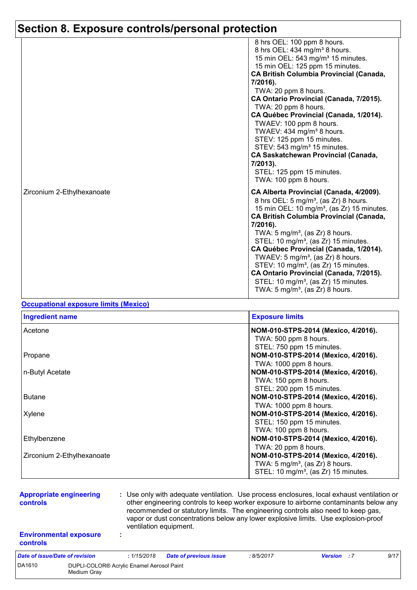|                            | 8 hrs OEL: 100 ppm 8 hours.<br>8 hrs OEL: 434 mg/m <sup>3</sup> 8 hours.<br>15 min OEL: 543 mg/m <sup>3</sup> 15 minutes.<br>15 min OEL: 125 ppm 15 minutes.<br><b>CA British Columbia Provincial (Canada,</b><br>7/2016).<br>TWA: 20 ppm 8 hours.<br>CA Ontario Provincial (Canada, 7/2015).<br>TWA: 20 ppm 8 hours.<br>CA Québec Provincial (Canada, 1/2014).<br>TWAEV: 100 ppm 8 hours.<br>TWAEV: 434 mg/m <sup>3</sup> 8 hours.<br>STEV: 125 ppm 15 minutes.<br>STEV: 543 mg/m <sup>3</sup> 15 minutes.<br><b>CA Saskatchewan Provincial (Canada,</b><br>7/2013).<br>STEL: 125 ppm 15 minutes.                                             |
|----------------------------|------------------------------------------------------------------------------------------------------------------------------------------------------------------------------------------------------------------------------------------------------------------------------------------------------------------------------------------------------------------------------------------------------------------------------------------------------------------------------------------------------------------------------------------------------------------------------------------------------------------------------------------------|
| Zirconium 2-Ethylhexanoate | TWA: 100 ppm 8 hours.<br>CA Alberta Provincial (Canada, 4/2009).<br>8 hrs OEL: 5 mg/m <sup>3</sup> , (as Zr) 8 hours.<br>15 min OEL: 10 mg/m <sup>3</sup> , (as Zr) 15 minutes.<br><b>CA British Columbia Provincial (Canada,</b><br>7/2016).<br>TWA: $5 \text{ mg/m}^3$ , (as Zr) 8 hours.<br>STEL: 10 mg/m <sup>3</sup> , (as Zr) 15 minutes.<br>CA Québec Provincial (Canada, 1/2014).<br>TWAEV: $5 \text{ mg/m}^3$ , (as Zr) 8 hours.<br>STEV: 10 mg/m <sup>3</sup> , (as Zr) 15 minutes.<br>CA Ontario Provincial (Canada, 7/2015).<br>STEL: 10 mg/m <sup>3</sup> , (as Zr) 15 minutes.<br>TWA: 5 mg/m <sup>3</sup> , (as $Zr$ ) 8 hours. |

### **Occupational exposure limits (Mexico)**

| <b>Ingredient name</b>     | <b>Exposure limits</b>                           |
|----------------------------|--------------------------------------------------|
| Acetone                    | NOM-010-STPS-2014 (Mexico, 4/2016).              |
|                            | TWA: 500 ppm 8 hours.                            |
|                            | STEL: 750 ppm 15 minutes.                        |
| Propane                    | NOM-010-STPS-2014 (Mexico, 4/2016).              |
|                            | TWA: 1000 ppm 8 hours.                           |
| n-Butyl Acetate            | NOM-010-STPS-2014 (Mexico, 4/2016).              |
|                            | TWA: 150 ppm 8 hours.                            |
|                            | STEL: 200 ppm 15 minutes.                        |
| <b>Butane</b>              | NOM-010-STPS-2014 (Mexico, 4/2016).              |
|                            | TWA: 1000 ppm 8 hours.                           |
| Xylene                     | NOM-010-STPS-2014 (Mexico, 4/2016).              |
|                            | STEL: 150 ppm 15 minutes.                        |
|                            | TWA: 100 ppm 8 hours.                            |
| Ethylbenzene               | NOM-010-STPS-2014 (Mexico, 4/2016).              |
|                            | TWA: 20 ppm 8 hours.                             |
| Zirconium 2-Ethylhexanoate | NOM-010-STPS-2014 (Mexico, 4/2016).              |
|                            | TWA: $5 \text{ mg/m}^3$ , (as Zr) 8 hours.       |
|                            | STEL: 10 mg/m <sup>3</sup> , (as Zr) 15 minutes. |

| <b>Appropriate engineering</b><br><b>controls</b> |                                                          |  | : Use only with adequate ventilation. Use process enclosures, local exhaust ventilation or<br>other engineering controls to keep worker exposure to airborne contaminants below any<br>recommended or statutory limits. The engineering controls also need to keep gas,<br>vapor or dust concentrations below any lower explosive limits. Use explosion-proof<br>ventilation equipment. |                               |           |                    |  |      |  |
|---------------------------------------------------|----------------------------------------------------------|--|-----------------------------------------------------------------------------------------------------------------------------------------------------------------------------------------------------------------------------------------------------------------------------------------------------------------------------------------------------------------------------------------|-------------------------------|-----------|--------------------|--|------|--|
| <b>Environmental exposure</b><br><b>controls</b>  |                                                          |  |                                                                                                                                                                                                                                                                                                                                                                                         |                               |           |                    |  |      |  |
| Date of issue/Date of revision                    |                                                          |  | :1/15/2018                                                                                                                                                                                                                                                                                                                                                                              | <b>Date of previous issue</b> | :8/5/2017 | <b>Version</b> : 7 |  | 9/17 |  |
| DA1610                                            | DUPLI-COLOR® Acrylic Enamel Aerosol Paint<br>Medium Grav |  |                                                                                                                                                                                                                                                                                                                                                                                         |                               |           |                    |  |      |  |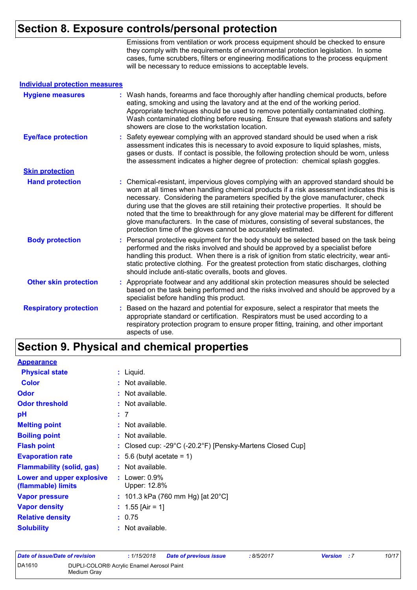Emissions from ventilation or work process equipment should be checked to ensure they comply with the requirements of environmental protection legislation. In some cases, fume scrubbers, filters or engineering modifications to the process equipment will be necessary to reduce emissions to acceptable levels.

| <b>Individual protection measures</b> |                                                                                                                                                                                                                                                                                                                                                                                                                                                                                                                                                                                                                        |
|---------------------------------------|------------------------------------------------------------------------------------------------------------------------------------------------------------------------------------------------------------------------------------------------------------------------------------------------------------------------------------------------------------------------------------------------------------------------------------------------------------------------------------------------------------------------------------------------------------------------------------------------------------------------|
| <b>Hygiene measures</b>               | : Wash hands, forearms and face thoroughly after handling chemical products, before<br>eating, smoking and using the lavatory and at the end of the working period.<br>Appropriate techniques should be used to remove potentially contaminated clothing.<br>Wash contaminated clothing before reusing. Ensure that eyewash stations and safety<br>showers are close to the workstation location.                                                                                                                                                                                                                      |
| <b>Eye/face protection</b>            | : Safety eyewear complying with an approved standard should be used when a risk<br>assessment indicates this is necessary to avoid exposure to liquid splashes, mists,<br>gases or dusts. If contact is possible, the following protection should be worn, unless<br>the assessment indicates a higher degree of protection: chemical splash goggles.                                                                                                                                                                                                                                                                  |
| <b>Skin protection</b>                |                                                                                                                                                                                                                                                                                                                                                                                                                                                                                                                                                                                                                        |
| <b>Hand protection</b>                | : Chemical-resistant, impervious gloves complying with an approved standard should be<br>worn at all times when handling chemical products if a risk assessment indicates this is<br>necessary. Considering the parameters specified by the glove manufacturer, check<br>during use that the gloves are still retaining their protective properties. It should be<br>noted that the time to breakthrough for any glove material may be different for different<br>glove manufacturers. In the case of mixtures, consisting of several substances, the<br>protection time of the gloves cannot be accurately estimated. |
| <b>Body protection</b>                | : Personal protective equipment for the body should be selected based on the task being<br>performed and the risks involved and should be approved by a specialist before<br>handling this product. When there is a risk of ignition from static electricity, wear anti-<br>static protective clothing. For the greatest protection from static discharges, clothing<br>should include anti-static overalls, boots and gloves.                                                                                                                                                                                         |
| <b>Other skin protection</b>          | : Appropriate footwear and any additional skin protection measures should be selected<br>based on the task being performed and the risks involved and should be approved by a<br>specialist before handling this product.                                                                                                                                                                                                                                                                                                                                                                                              |
| <b>Respiratory protection</b>         | Based on the hazard and potential for exposure, select a respirator that meets the<br>t.<br>appropriate standard or certification. Respirators must be used according to a<br>respiratory protection program to ensure proper fitting, training, and other important<br>aspects of use.                                                                                                                                                                                                                                                                                                                                |

## **Section 9. Physical and chemical properties**

| <b>Appearance</b>                               |                                                                                 |
|-------------------------------------------------|---------------------------------------------------------------------------------|
| <b>Physical state</b>                           | $:$ Liquid.                                                                     |
| <b>Color</b>                                    | : Not available.                                                                |
| <b>Odor</b>                                     | : Not available.                                                                |
| <b>Odor threshold</b>                           | : Not available.                                                                |
| рH                                              | : 7                                                                             |
| <b>Melting point</b>                            | : Not available.                                                                |
| <b>Boiling point</b>                            | $:$ Not available.                                                              |
| <b>Flash point</b>                              | : Closed cup: -29 $^{\circ}$ C (-20.2 $^{\circ}$ F) [Pensky-Martens Closed Cup] |
| <b>Evaporation rate</b>                         | $: 5.6$ (butyl acetate = 1)                                                     |
| <b>Flammability (solid, gas)</b>                | : Not available.                                                                |
| Lower and upper explosive<br>(flammable) limits | : Lower: $0.9\%$<br>Upper: 12.8%                                                |
| <b>Vapor pressure</b>                           | : 101.3 kPa (760 mm Hg) [at 20 $^{\circ}$ C]                                    |
| <b>Vapor density</b>                            | : $1.55$ [Air = 1]                                                              |
| <b>Relative density</b>                         | : 0.75                                                                          |
| <b>Solubility</b>                               | $:$ Not available.                                                              |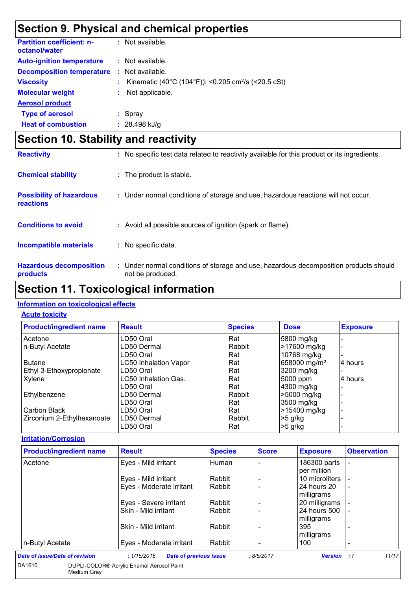# **Section 9. Physical and chemical properties**

| <b>Partition coefficient: n-</b><br>octanol/water |    | : Not available.                                                |
|---------------------------------------------------|----|-----------------------------------------------------------------|
| <b>Auto-ignition temperature</b>                  |    | : Not available.                                                |
| <b>Decomposition temperature</b>                  |    | : Not available.                                                |
| <b>Viscosity</b>                                  |    | Kinematic (40°C (104°F)): <0.205 cm <sup>2</sup> /s (<20.5 cSt) |
| <b>Molecular weight</b>                           | t. | Not applicable.                                                 |
| <b>Aerosol product</b>                            |    |                                                                 |
| <b>Type of aerosol</b>                            |    | $:$ Spray                                                       |
| <b>Heat of combustion</b>                         |    | $: 28.498$ kJ/g                                                 |

# **Section 10. Stability and reactivity**

| <b>Reactivity</b>                            | : No specific test data related to reactivity available for this product or its ingredients.              |
|----------------------------------------------|-----------------------------------------------------------------------------------------------------------|
| <b>Chemical stability</b>                    | : The product is stable.                                                                                  |
| <b>Possibility of hazardous</b><br>reactions | : Under normal conditions of storage and use, hazardous reactions will not occur.                         |
| <b>Conditions to avoid</b>                   | : Avoid all possible sources of ignition (spark or flame).                                                |
| <b>Incompatible materials</b>                | : No specific data.                                                                                       |
| <b>Hazardous decomposition</b><br>products   | : Under normal conditions of storage and use, hazardous decomposition products should<br>not be produced. |

## **Section 11. Toxicological information**

### **Information on toxicological effects**

#### **Acute toxicity**

| <b>Product/ingredient name</b> | <b>Result</b>                | <b>Species</b> | <b>Dose</b>              | <b>Exposure</b> |
|--------------------------------|------------------------------|----------------|--------------------------|-----------------|
| Acetone                        | LD50 Oral                    | Rat            | 5800 mg/kg               |                 |
| n-Butyl Acetate                | LD50 Dermal                  | Rabbit         | -17600 mg/kg             |                 |
|                                | LD50 Oral                    | Rat            | 10768 mg/kg              |                 |
| Butane                         | <b>LC50 Inhalation Vapor</b> | Rat            | 658000 mg/m <sup>3</sup> | 14 hours        |
| Ethyl 3-Ethoxypropionate       | LD50 Oral                    | Rat            | 3200 mg/kg               |                 |
| Xylene                         | LC50 Inhalation Gas.         | Rat            | 5000 ppm                 | 4 hours         |
|                                | LD50 Oral                    | Rat            | 4300 mg/kg               |                 |
| Ethylbenzene                   | LD50 Dermal                  | Rabbit         | >5000 mg/kg              |                 |
|                                | LD50 Oral                    | Rat            | 3500 mg/kg               |                 |
| Carbon Black                   | LD50 Oral                    | Rat            | >15400 mg/kg             |                 |
| Zirconium 2-Ethylhexanoate     | LD50 Dermal                  | Rabbit         | $>5$ g/kg                |                 |
|                                | LD50 Oral                    | Rat            | $>5$ g/kg                |                 |

#### **Irritation/Corrosion**

| <b>Product/ingredient name</b> | <b>Result</b>                                | <b>Species</b> | <b>Score</b> | <b>Exposure</b>             | <b>Observation</b>       |
|--------------------------------|----------------------------------------------|----------------|--------------|-----------------------------|--------------------------|
| Acetone                        | Eyes - Mild irritant                         | Human          |              | 186300 parts<br>per million |                          |
|                                | Eyes - Mild irritant                         | Rabbit         |              | 10 microliters              |                          |
|                                | Eyes - Moderate irritant                     | Rabbit         |              | 24 hours 20<br>milligrams   |                          |
|                                | Eyes - Severe irritant                       | Rabbit         |              | 20 milligrams               |                          |
|                                | Skin - Mild irritant                         | Rabbit         |              | 24 hours 500<br>milligrams  | $\overline{\phantom{0}}$ |
|                                | Skin - Mild irritant                         | Rabbit         |              | 395<br>milligrams           |                          |
| n-Butyl Acetate                | Eyes - Moderate irritant                     | Rabbit         |              | 100                         |                          |
| Date of issue/Date of revision | : 1/15/2018<br><b>Date of previous issue</b> |                | :8/5/2017    | <b>Version</b>              | 11/17<br>- : 7           |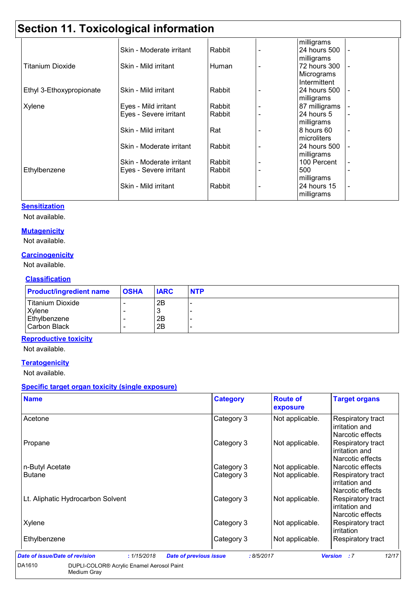# **Section 11. Toxicological information**

|                          | -2011                    |        |               |                |
|--------------------------|--------------------------|--------|---------------|----------------|
|                          |                          |        | milligrams    |                |
|                          | Skin - Moderate irritant | Rabbit | 24 hours 500  | $\blacksquare$ |
|                          |                          |        | milligrams    |                |
| <b>Titanium Dioxide</b>  | Skin - Mild irritant     | Human  | 72 hours 300  |                |
|                          |                          |        | Micrograms    |                |
|                          |                          |        | Intermittent  |                |
| Ethyl 3-Ethoxypropionate | Skin - Mild irritant     | Rabbit | 24 hours 500  |                |
|                          |                          |        | milligrams    |                |
| Xylene                   | Eyes - Mild irritant     | Rabbit | 87 milligrams |                |
|                          | Eyes - Severe irritant   | Rabbit | 24 hours 5    | i.             |
|                          |                          |        | milligrams    |                |
|                          | Skin - Mild irritant     | Rat    | 8 hours 60    |                |
|                          |                          |        | microliters   |                |
|                          | Skin - Moderate irritant | Rabbit | 24 hours 500  |                |
|                          |                          |        | milligrams    |                |
|                          | Skin - Moderate irritant | Rabbit | 100 Percent   |                |
| Ethylbenzene             | Eyes - Severe irritant   | Rabbit | 500           |                |
|                          |                          |        | milligrams    |                |
|                          | Skin - Mild irritant     | Rabbit | 24 hours 15   |                |
|                          |                          |        | milligrams    |                |

#### **Sensitization**

Not available.

#### **Mutagenicity**

Not available.

#### **Carcinogenicity**

Not available.

### **Classification**

| <b>Product/ingredient name</b> | <b>OSHA</b> | <b>IARC</b> | <b>NTP</b> |
|--------------------------------|-------------|-------------|------------|
| Titanium Dioxide               | -           | 2B          |            |
| Xylene                         | -           | J           |            |
| Ethylbenzene                   |             | 2B          |            |
| Carbon Black                   |             | 2B          |            |

### **Reproductive toxicity**

Not available.

### **Teratogenicity**

Not available.

### **Specific target organ toxicity (single exposure)**

| <b>Name</b>                       | <b>Category</b>          | <b>Route of</b><br>exposure        | <b>Target organs</b>                                                               |
|-----------------------------------|--------------------------|------------------------------------|------------------------------------------------------------------------------------|
| Acetone                           | Category 3               | Not applicable.                    | Respiratory tract<br>irritation and<br>Narcotic effects                            |
| Propane                           | Category 3               | Not applicable.                    | <b>Respiratory tract</b><br>irritation and<br>Narcotic effects                     |
| n-Butyl Acetate<br><b>Butane</b>  | Category 3<br>Category 3 | Not applicable.<br>Not applicable. | Narcotic effects<br><b>Respiratory tract</b><br>irritation and<br>Narcotic effects |
| Lt. Aliphatic Hydrocarbon Solvent | Category 3               | Not applicable.                    | <b>Respiratory tract</b><br>irritation and<br>Narcotic effects                     |
| Xylene                            | Category 3               | Not applicable.                    | Respiratory tract<br>irritation                                                    |
| Ethylbenzene                      | Category 3               | Not applicable.                    | <b>Respiratory tract</b>                                                           |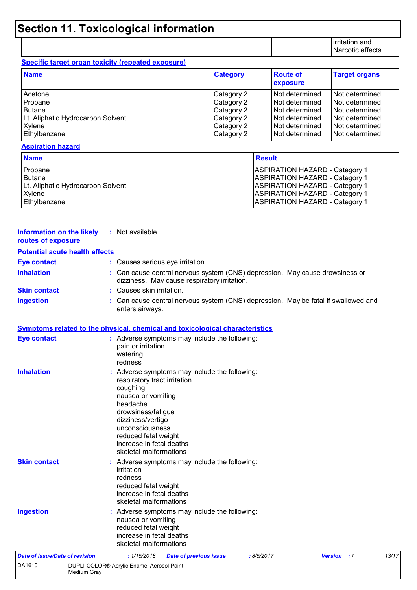# **Section 11. Toxicological information**

| irritation and   |
|------------------|
| Narcotic effects |

### **Specific target organ toxicity (repeated exposure)**

| <b>Name</b>                       | <b>Category</b> | <b>Route of</b><br>exposure | <b>Target organs</b> |
|-----------------------------------|-----------------|-----------------------------|----------------------|
| Acetone                           | Category 2      | l Not determined            | Not determined       |
| Propane                           | Category 2      | l Not determined            | Not determined       |
| <b>Butane</b>                     | Category 2      | l Not determined            | Not determined       |
| Lt. Aliphatic Hydrocarbon Solvent | Category 2      | l Not determined            | Not determined       |
| Xylene                            | Category 2      | l Not determined            | Not determined       |
| Ethylbenzene                      | Category 2      | l Not determined            | Not determined       |

#### **Aspiration hazard**

| <b>Name</b>                       | <b>Result</b>                         |
|-----------------------------------|---------------------------------------|
| Propane                           | <b>ASPIRATION HAZARD - Category 1</b> |
| <b>Butane</b>                     | <b>ASPIRATION HAZARD - Category 1</b> |
| Lt. Aliphatic Hydrocarbon Solvent | <b>ASPIRATION HAZARD - Category 1</b> |
| Xylene                            | <b>ASPIRATION HAZARD - Category 1</b> |
| Ethylbenzene                      | <b>ASPIRATION HAZARD - Category 1</b> |

| <b>Information on the likely</b><br>routes of exposure | : Not available.                                                                                                                                                                                                                                                        |
|--------------------------------------------------------|-------------------------------------------------------------------------------------------------------------------------------------------------------------------------------------------------------------------------------------------------------------------------|
| <b>Potential acute health effects</b>                  |                                                                                                                                                                                                                                                                         |
| <b>Eye contact</b>                                     | : Causes serious eye irritation.                                                                                                                                                                                                                                        |
| <b>Inhalation</b>                                      | : Can cause central nervous system (CNS) depression. May cause drowsiness or<br>dizziness. May cause respiratory irritation.                                                                                                                                            |
| <b>Skin contact</b>                                    | : Causes skin irritation.                                                                                                                                                                                                                                               |
| <b>Ingestion</b>                                       | : Can cause central nervous system (CNS) depression. May be fatal if swallowed and<br>enters airways.                                                                                                                                                                   |
|                                                        | Symptoms related to the physical, chemical and toxicological characteristics                                                                                                                                                                                            |
| <b>Eye contact</b>                                     | : Adverse symptoms may include the following:<br>pain or irritation<br>watering<br>redness                                                                                                                                                                              |
| <b>Inhalation</b>                                      | : Adverse symptoms may include the following:<br>respiratory tract irritation<br>coughing<br>nausea or vomiting<br>headache<br>drowsiness/fatigue<br>dizziness/vertigo<br>unconsciousness<br>reduced fetal weight<br>increase in fetal deaths<br>skeletal malformations |
| <b>Skin contact</b>                                    | : Adverse symptoms may include the following:<br>irritation<br>redness<br>reduced fetal weight<br>increase in fetal deaths<br>skeletal malformations                                                                                                                    |
| <b>Ingestion</b>                                       | : Adverse symptoms may include the following:<br>nausea or vomiting<br>reduced fetal weight<br>increase in fetal deaths<br>skeletal malformations                                                                                                                       |
| <b>Date of issue/Date of revision</b>                  | :8/5/2017<br><b>Version</b> : 7<br>13/17<br>: 1/15/2018<br><b>Date of previous issue</b>                                                                                                                                                                                |
| DA1610<br>Medium Gray                                  | DUPLI-COLOR® Acrylic Enamel Aerosol Paint                                                                                                                                                                                                                               |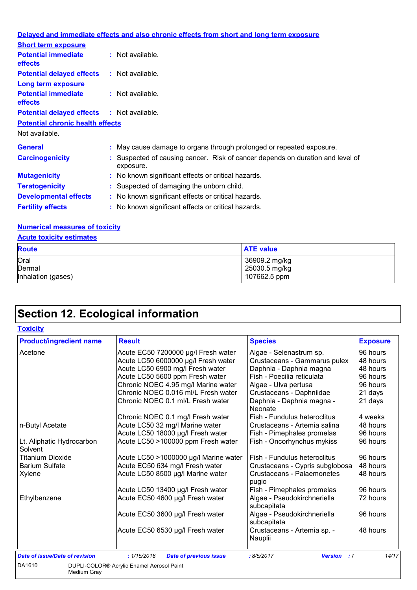|                                                   | Delayed and immediate effects and also chronic effects from short and long term exposure    |  |
|---------------------------------------------------|---------------------------------------------------------------------------------------------|--|
| <b>Short term exposure</b>                        |                                                                                             |  |
| <b>Potential immediate</b><br>effects             | $:$ Not available.                                                                          |  |
| <b>Potential delayed effects</b>                  | : Not available.                                                                            |  |
| <b>Long term exposure</b>                         |                                                                                             |  |
| <b>Potential immediate</b><br>effects             | $:$ Not available.                                                                          |  |
| <b>Potential delayed effects : Not available.</b> |                                                                                             |  |
| <b>Potential chronic health effects</b>           |                                                                                             |  |
| Not available.                                    |                                                                                             |  |
| <b>General</b>                                    | : May cause damage to organs through prolonged or repeated exposure.                        |  |
| <b>Carcinogenicity</b>                            | : Suspected of causing cancer. Risk of cancer depends on duration and level of<br>exposure. |  |
| <b>Mutagenicity</b>                               | : No known significant effects or critical hazards.                                         |  |
| <b>Teratogenicity</b>                             | : Suspected of damaging the unborn child.                                                   |  |
| <b>Developmental effects</b>                      | : No known significant effects or critical hazards.                                         |  |
| <b>Fertility effects</b>                          | : No known significant effects or critical hazards.                                         |  |
| <b>Numerical measures of toxicity</b>             |                                                                                             |  |

## **Acute toxicity estimates**

| <u>Trouto toxiony obtimatoo</u> |                                |  |  |
|---------------------------------|--------------------------------|--|--|
| <b>Route</b>                    | <b>ATE value</b>               |  |  |
| Oral<br>Dermal                  | 36909.2 mg/kg<br>25030.5 mg/kg |  |  |
| Inhalation (gases)              | 107662.5 ppm                   |  |  |

# **Section 12. Ecological information**

| <b>Toxicity</b> |
|-----------------|
|-----------------|

| Acute EC50 7200000 µg/l Fresh water          |                                                                                                                     |                                                  |
|----------------------------------------------|---------------------------------------------------------------------------------------------------------------------|--------------------------------------------------|
|                                              | Algae - Selenastrum sp.                                                                                             | 96 hours                                         |
| Acute LC50 6000000 µg/l Fresh water          | Crustaceans - Gammarus pulex                                                                                        | 48 hours                                         |
| Acute LC50 6900 mg/l Fresh water             | Daphnia - Daphnia magna                                                                                             | 48 hours                                         |
| Acute LC50 5600 ppm Fresh water              | Fish - Poecilia reticulata                                                                                          | 96 hours                                         |
| Chronic NOEC 4.95 mg/l Marine water          | Algae - Ulva pertusa                                                                                                | 96 hours                                         |
| Chronic NOEC 0.016 ml/L Fresh water          | Crustaceans - Daphniidae                                                                                            | 21 days                                          |
| Chronic NOEC 0.1 ml/L Fresh water            | Daphnia - Daphnia magna -<br>Neonate                                                                                | 21 days                                          |
| Chronic NOEC 0.1 mg/l Fresh water            | Fish - Fundulus heteroclitus                                                                                        | 4 weeks                                          |
| Acute LC50 32 mg/l Marine water              | Crustaceans - Artemia salina                                                                                        | 48 hours                                         |
|                                              | Fish - Pimephales promelas                                                                                          | 96 hours                                         |
| Acute LC50 >100000 ppm Fresh water           | Fish - Oncorhynchus mykiss                                                                                          | 96 hours                                         |
| Acute LC50 >1000000 µg/l Marine water        | Fish - Fundulus heteroclitus                                                                                        | 96 hours                                         |
| Acute EC50 634 mg/l Fresh water              | Crustaceans - Cypris subglobosa                                                                                     | 48 hours                                         |
| Acute LC50 8500 µg/l Marine water            | Crustaceans - Palaemonetes<br>pugio                                                                                 | 48 hours                                         |
|                                              |                                                                                                                     | 96 hours                                         |
| Acute EC50 4600 µg/l Fresh water             | Algae - Pseudokirchneriella<br>subcapitata                                                                          | 72 hours                                         |
| Acute EC50 3600 µg/l Fresh water             | Algae - Pseudokirchneriella<br>subcapitata                                                                          | 96 hours                                         |
| Acute EC50 6530 µg/l Fresh water             | Crustaceans - Artemia sp. -<br>Nauplii                                                                              | 48 hours                                         |
| : 1/15/2018<br><b>Date of previous issue</b> | :8/5/2017                                                                                                           | 14/17                                            |
|                                              | Acute LC50 18000 µg/l Fresh water<br>Acute LC50 13400 µg/l Fresh water<br>DUPLI-COLOR® Acrylic Enamel Aerosol Paint | Fish - Pimephales promelas<br><b>Version</b> : 7 |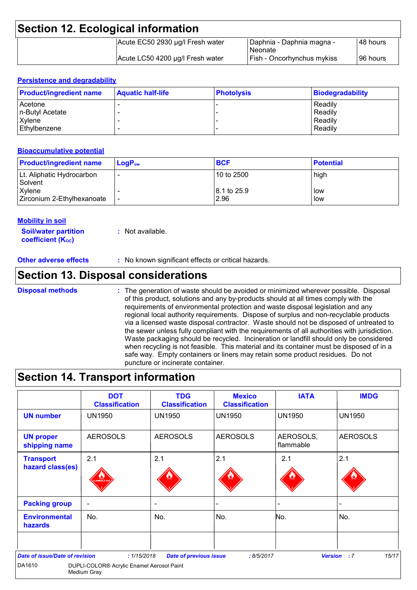| <b>Section 12. Ecological information</b> |                                  |                                             |           |  |
|-------------------------------------------|----------------------------------|---------------------------------------------|-----------|--|
|                                           | Acute EC50 2930 µg/l Fresh water | Daphnia - Daphnia magna -<br><b>Neonate</b> | I48 hours |  |
|                                           | Acute LC50 4200 µg/l Fresh water | Fish - Oncorhynchus mykiss                  | I96 hours |  |

### **Persistence and degradability**

| <b>Product/ingredient name</b> | <b>Aquatic half-life</b> | <b>Photolysis</b> | <b>Biodegradability</b> |
|--------------------------------|--------------------------|-------------------|-------------------------|
| Acetone                        |                          |                   | Readily                 |
| n-Butyl Acetate                |                          |                   | Readily                 |
| Xylene                         |                          |                   | Readily                 |
| Ethylbenzene                   |                          |                   | Readily                 |

#### **Bioaccumulative potential**

| <b>Product/ingredient name</b>       | $\mathsf{LogP}_\mathsf{ow}$ | <b>BCF</b>                      | <b>Potential</b> |
|--------------------------------------|-----------------------------|---------------------------------|------------------|
| Lt. Aliphatic Hydrocarbon<br>Solvent |                             | 10 to 2500                      | high             |
| Xylene<br>Zirconium 2-Ethylhexanoate |                             | $ 8.1 \text{ to } 25.9$<br>2.96 | low<br>low       |

### **Mobility in soil**

**Soil/water partition coefficient (KOC) :** Not available.

**Other adverse effects** : No known significant effects or critical hazards.

### **Section 13. Disposal considerations**

The generation of waste should be avoided or minimized wherever possible. Disposal of this product, solutions and any by-products should at all times comply with the requirements of environmental protection and waste disposal legislation and any regional local authority requirements. Dispose of surplus and non-recyclable products via a licensed waste disposal contractor. Waste should not be disposed of untreated to the sewer unless fully compliant with the requirements of all authorities with jurisdiction. Waste packaging should be recycled. Incineration or landfill should only be considered when recycling is not feasible. This material and its container must be disposed of in a safe way. Empty containers or liners may retain some product residues. Do not puncture or incinerate container. **Disposal methods :**

### **Section 14. Transport information**

| <b>UN number</b><br><b>UN proper</b><br>shipping name<br>2.1<br><b>Transport</b><br>hazard class(es) | <b>UN1950</b><br><b>AEROSOLS</b> | <b>UN1950</b><br><b>AEROSOLS</b> | <b>UN1950</b><br><b>AEROSOLS</b> | <b>UN1950</b><br>AEROSOLS,   | <b>UN1950</b><br><b>AEROSOLS</b> |
|------------------------------------------------------------------------------------------------------|----------------------------------|----------------------------------|----------------------------------|------------------------------|----------------------------------|
|                                                                                                      |                                  |                                  |                                  |                              |                                  |
|                                                                                                      |                                  |                                  |                                  | flammable                    |                                  |
|                                                                                                      | <b>MMABLE G</b>                  | 2.1                              | 2.1                              | 2.1                          | 2.1                              |
| <b>Packing group</b><br>$\overline{\phantom{a}}$                                                     |                                  | $\overline{\phantom{a}}$         |                                  | $\qquad \qquad \blacksquare$ |                                  |
| <b>Environmental</b><br>No.<br>hazards                                                               |                                  | No.                              | No.                              | No.                          | No.                              |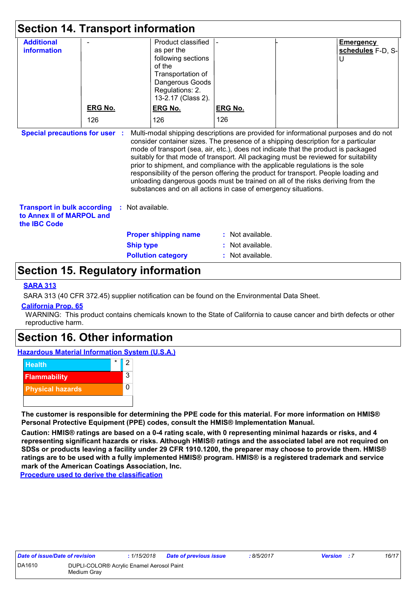| <b>Section 14. Transport information</b>                                                                                                                                                                                                                                                                                                                                                                                                                                                                                                                                                                                                                                                                                   |                |                  |                                                                                                                                                   |                  |                                            |
|----------------------------------------------------------------------------------------------------------------------------------------------------------------------------------------------------------------------------------------------------------------------------------------------------------------------------------------------------------------------------------------------------------------------------------------------------------------------------------------------------------------------------------------------------------------------------------------------------------------------------------------------------------------------------------------------------------------------------|----------------|------------------|---------------------------------------------------------------------------------------------------------------------------------------------------|------------------|--------------------------------------------|
| <b>Additional</b><br><b>information</b>                                                                                                                                                                                                                                                                                                                                                                                                                                                                                                                                                                                                                                                                                    |                |                  | Product classified<br>as per the<br>following sections<br>of the<br>Transportation of<br>Dangerous Goods<br>Regulations: 2.<br>13-2.17 (Class 2). |                  | <b>Emergency</b><br>schedules F-D, S-<br>U |
|                                                                                                                                                                                                                                                                                                                                                                                                                                                                                                                                                                                                                                                                                                                            | <b>ERG No.</b> |                  | <b>ERG No.</b>                                                                                                                                    | <b>ERG No.</b>   |                                            |
|                                                                                                                                                                                                                                                                                                                                                                                                                                                                                                                                                                                                                                                                                                                            | 126            |                  | 126                                                                                                                                               | 126              |                                            |
| <b>Special precautions for user</b><br>Multi-modal shipping descriptions are provided for informational purposes and do not<br>consider container sizes. The presence of a shipping description for a particular<br>mode of transport (sea, air, etc.), does not indicate that the product is packaged<br>suitably for that mode of transport. All packaging must be reviewed for suitability<br>prior to shipment, and compliance with the applicable regulations is the sole<br>responsibility of the person offering the product for transport. People loading and<br>unloading dangerous goods must be trained on all of the risks deriving from the<br>substances and on all actions in case of emergency situations. |                |                  |                                                                                                                                                   |                  |                                            |
| <b>Transport in bulk according</b><br>: Not available.<br>to Annex II of MARPOL and<br>the <b>IBC</b> Code                                                                                                                                                                                                                                                                                                                                                                                                                                                                                                                                                                                                                 |                |                  |                                                                                                                                                   |                  |                                            |
|                                                                                                                                                                                                                                                                                                                                                                                                                                                                                                                                                                                                                                                                                                                            |                |                  | <b>Proper shipping name</b>                                                                                                                       | : Not available. |                                            |
|                                                                                                                                                                                                                                                                                                                                                                                                                                                                                                                                                                                                                                                                                                                            |                | <b>Ship type</b> |                                                                                                                                                   | Not available.   |                                            |
|                                                                                                                                                                                                                                                                                                                                                                                                                                                                                                                                                                                                                                                                                                                            |                |                  | <b>Pollution category</b>                                                                                                                         | : Not available. |                                            |

## **Section 15. Regulatory information**

### **SARA 313**

SARA 313 (40 CFR 372.45) supplier notification can be found on the Environmental Data Sheet.

### **California Prop. 65**

WARNING: This product contains chemicals known to the State of California to cause cancer and birth defects or other reproductive harm.

### **Section 16. Other information**

**Hazardous Material Information System (U.S.A.)**



**The customer is responsible for determining the PPE code for this material. For more information on HMIS® Personal Protective Equipment (PPE) codes, consult the HMIS® Implementation Manual.**

**Caution: HMIS® ratings are based on a 0-4 rating scale, with 0 representing minimal hazards or risks, and 4 representing significant hazards or risks. Although HMIS® ratings and the associated label are not required on SDSs or products leaving a facility under 29 CFR 1910.1200, the preparer may choose to provide them. HMIS® ratings are to be used with a fully implemented HMIS® program. HMIS® is a registered trademark and service mark of the American Coatings Association, Inc.**

**Procedure used to derive the classification**